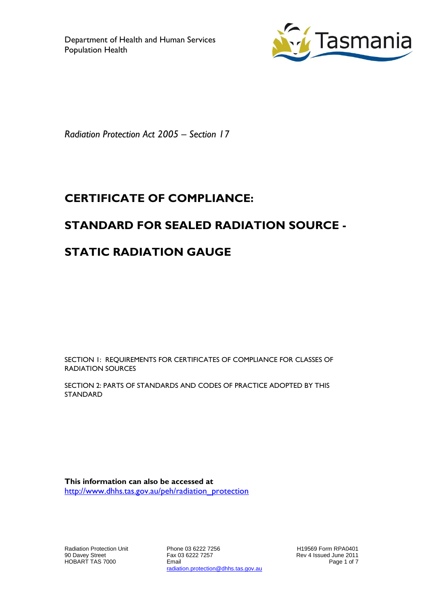

*Radiation Protection Act 2005 – Section 17*

# **CERTIFICATE OF COMPLIANCE:**

### **STANDARD FOR SEALED RADIATION SOURCE -**

# **STATIC RADIATION GAUGE**

SECTION 1: REQUIREMENTS FOR CERTIFICATES OF COMPLIANCE FOR CLASSES OF RADIATION SOURCES

SECTION 2: PARTS OF STANDARDS AND CODES OF PRACTICE ADOPTED BY THIS STANDARD

**This information can also be accessed at** [http://www.dhhs.tas.gov.au/peh/radiation\\_protection](http://www.dhhs.tas.gov.au/peh/radiation_protection)

Radiation Protection Unit 90 Davey Street HOBART TAS 7000

Phone 03 6222 7256 Fax 03 6222 7257 Email radiation.protection@dhhs.tas.gov.au

H19569 Form RPA0401 Rev 4 Issued June 2011 Page 1 of 7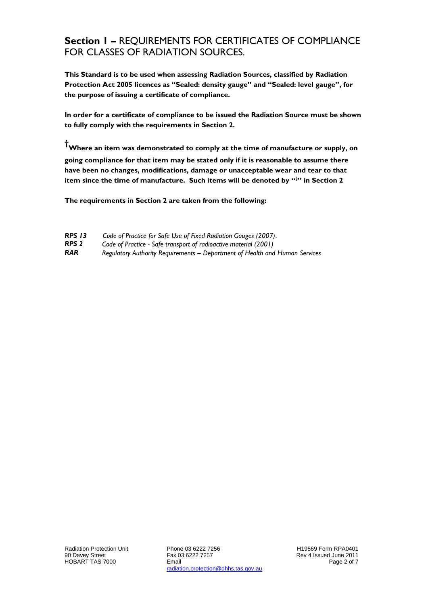#### **Section 1 –** REQUIREMENTS FOR CERTIFICATES OF COMPLIANCE FOR CLASSES OF RADIATION SOURCES.

**This Standard is to be used when assessing Radiation Sources, classified by Radiation Protection Act 2005 licences as "Sealed: density gauge" and "Sealed: level gauge", for the purpose of issuing a certificate of compliance.**

**In order for a certificate of compliance to be issued the Radiation Source must be shown to fully comply with the requirements in Section 2.**

**†Where an item was demonstrated to comply at the time of manufacture or supply, on going compliance for that item may be stated only if it is reasonable to assume there have been no changes, modifications, damage or unacceptable wear and tear to that item since the time of manufacture. Such items will be denoted by "†" in Section 2**

**The requirements in Section 2 are taken from the following:**

| <b>RPS 13</b> | Code of Practice for Safe Use of Fixed Radiation Gauges (2007). |  |  |
|---------------|-----------------------------------------------------------------|--|--|
|               |                                                                 |  |  |

- *RPS 2 Code of Practice - Safe transport of radioactive material (2001)*
- *RAR Regulatory Authority Requirements – Department of Health and Human Services*

H19569 Form RPA0401 Rev 4 Issued June 2011 Page 2 of 7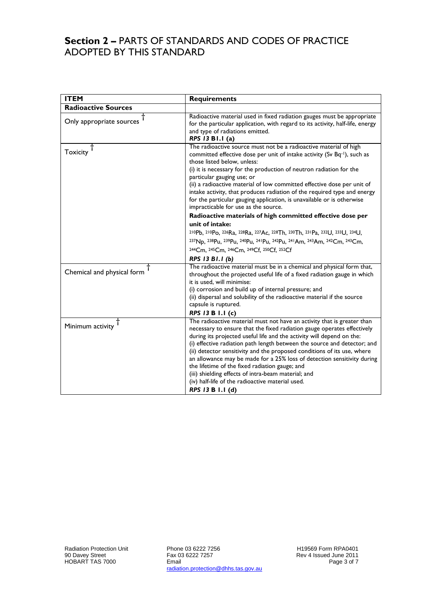#### **Section 2 –** PARTS OF STANDARDS AND CODES OF PRACTICE ADOPTED BY THIS STANDARD

| Radioactive material used in fixed radiation gauges must be appropriate                                                                                                                                                                                                                                                                                                                                                                                                                                                                                                                                                                        |
|------------------------------------------------------------------------------------------------------------------------------------------------------------------------------------------------------------------------------------------------------------------------------------------------------------------------------------------------------------------------------------------------------------------------------------------------------------------------------------------------------------------------------------------------------------------------------------------------------------------------------------------------|
|                                                                                                                                                                                                                                                                                                                                                                                                                                                                                                                                                                                                                                                |
| for the particular application, with regard to its activity, half-life, energy<br>and type of radiations emitted.<br>RPS 13 B1.1 (a)                                                                                                                                                                                                                                                                                                                                                                                                                                                                                                           |
| The radioactive source must not be a radioactive material of high<br>committed effective dose per unit of intake activity (Sv Bq-1), such as<br>those listed below, unless:<br>(i) it is necessary for the production of neutron radiation for the<br>particular gauging use; or<br>(ii) a radioactive material of low committed effective dose per unit of<br>intake activity, that produces radiation of the required type and energy<br>for the particular gauging application, is unavailable or is otherwise<br>impracticable for use as the source.                                                                                      |
| Radioactive materials of high committed effective dose per                                                                                                                                                                                                                                                                                                                                                                                                                                                                                                                                                                                     |
| unit of intake:                                                                                                                                                                                                                                                                                                                                                                                                                                                                                                                                                                                                                                |
| 210Pb, 210Po, 226Ra, 228Ra, 227Ac, 228Th, 230Th, 231Pa, 232U, 233U, 234U,                                                                                                                                                                                                                                                                                                                                                                                                                                                                                                                                                                      |
| 237Np, 238Pu, 239Pu, 240Pu, 241Pu, 242Pu, 241Am, 243Am, 242Cm, 243Cm,                                                                                                                                                                                                                                                                                                                                                                                                                                                                                                                                                                          |
| 244Cm, 245Cm, 246Cm, 249Cf, 250Cf, 252Cf                                                                                                                                                                                                                                                                                                                                                                                                                                                                                                                                                                                                       |
| RPS 13 B1.1 (b)                                                                                                                                                                                                                                                                                                                                                                                                                                                                                                                                                                                                                                |
| The radioactive material must be in a chemical and physical form that,<br>throughout the projected useful life of a fixed radiation gauge in which<br>it is used, will minimise:                                                                                                                                                                                                                                                                                                                                                                                                                                                               |
| (i) corrosion and build up of internal pressure; and                                                                                                                                                                                                                                                                                                                                                                                                                                                                                                                                                                                           |
| (ii) dispersal and solubility of the radioactive material if the source<br>capsule is ruptured.                                                                                                                                                                                                                                                                                                                                                                                                                                                                                                                                                |
| RPS 13 B 1.1 (c)                                                                                                                                                                                                                                                                                                                                                                                                                                                                                                                                                                                                                               |
| The radioactive material must not have an activity that is greater than<br>necessary to ensure that the fixed radiation gauge operates effectively<br>during its projected useful life and the activity will depend on the:<br>(i) effective radiation path length between the source and detector; and<br>(ii) detector sensitivity and the proposed conditions of its use, where<br>an allowance may be made for a 25% loss of detection sensitivity during<br>the lifetime of the fixed radiation gauge; and<br>(iii) shielding effects of intra-beam material; and<br>(iv) half-life of the radioactive material used.<br>RPS 13 B 1.1 (d) |
|                                                                                                                                                                                                                                                                                                                                                                                                                                                                                                                                                                                                                                                |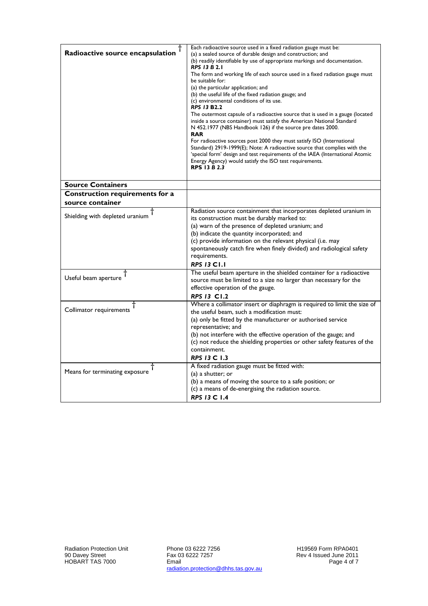| Radioactive source encapsulation | Each radioactive source used in a fixed radiation gauge must be:<br>(a) a sealed source of durable design and construction; and<br>(b) readily identifiable by use of appropriate markings and documentation.<br><b>RPS 13 B 2.1</b><br>The form and working life of each source used in a fixed radiation gauge must<br>be suitable for:<br>(a) the particular application; and<br>(b) the useful life of the fixed radiation gauge; and<br>(c) environmental conditions of its use.<br><b>RPS 13 B2.2</b><br>The outermost capsule of a radioactive source that is used in a gauge (located<br>inside a source container) must satisfy the American National Standard<br>N 452.1977 (NBS Handbook 126) if the source pre dates 2000.<br><b>RAR</b><br>For radioactive sources post 2000 they must satisfy ISO (International<br>Standard) 2919-1999(E); Note: A radioactive source that complies with the<br>'special form' design and test requirements of the IAEA (International Atomic<br>Energy Agency) would satisfy the ISO test requirements.<br><b>RPS 13 B 2.3</b> |
|----------------------------------|--------------------------------------------------------------------------------------------------------------------------------------------------------------------------------------------------------------------------------------------------------------------------------------------------------------------------------------------------------------------------------------------------------------------------------------------------------------------------------------------------------------------------------------------------------------------------------------------------------------------------------------------------------------------------------------------------------------------------------------------------------------------------------------------------------------------------------------------------------------------------------------------------------------------------------------------------------------------------------------------------------------------------------------------------------------------------------|
| <b>Source Containers</b>         |                                                                                                                                                                                                                                                                                                                                                                                                                                                                                                                                                                                                                                                                                                                                                                                                                                                                                                                                                                                                                                                                                |
| Construction requirements for a  |                                                                                                                                                                                                                                                                                                                                                                                                                                                                                                                                                                                                                                                                                                                                                                                                                                                                                                                                                                                                                                                                                |
| source container                 |                                                                                                                                                                                                                                                                                                                                                                                                                                                                                                                                                                                                                                                                                                                                                                                                                                                                                                                                                                                                                                                                                |
| Shielding with depleted uranium  | Radiation source containment that incorporates depleted uranium in<br>its construction must be durably marked to:<br>(a) warn of the presence of depleted uranium; and<br>(b) indicate the quantity incorporated; and<br>(c) provide information on the relevant physical (i.e. may<br>spontaneously catch fire when finely divided) and radiological safety<br>requirements.<br><b>RPS 13 C1.1</b>                                                                                                                                                                                                                                                                                                                                                                                                                                                                                                                                                                                                                                                                            |
| Useful beam aperture             | The useful beam aperture in the shielded container for a radioactive<br>source must be limited to a size no larger than necessary for the<br>effective operation of the gauge.<br><b>RPS 13 C1.2</b>                                                                                                                                                                                                                                                                                                                                                                                                                                                                                                                                                                                                                                                                                                                                                                                                                                                                           |
| Collimator requirements          | Where a collimator insert or diaphragm is required to limit the size of<br>the useful beam, such a modification must:<br>(a) only be fitted by the manufacturer or authorised service<br>representative; and<br>(b) not interfere with the effective operation of the gauge; and<br>(c) not reduce the shielding properties or other safety features of the<br>containment.<br><b>RPS 13 C 1.3</b>                                                                                                                                                                                                                                                                                                                                                                                                                                                                                                                                                                                                                                                                             |
| Means for terminating exposure   | A fixed radiation gauge must be fitted with:<br>$(a)$ a shutter; or<br>(b) a means of moving the source to a safe position; or<br>(c) a means of de-energising the radiation source.<br><b>RPS 13 C 1.4</b>                                                                                                                                                                                                                                                                                                                                                                                                                                                                                                                                                                                                                                                                                                                                                                                                                                                                    |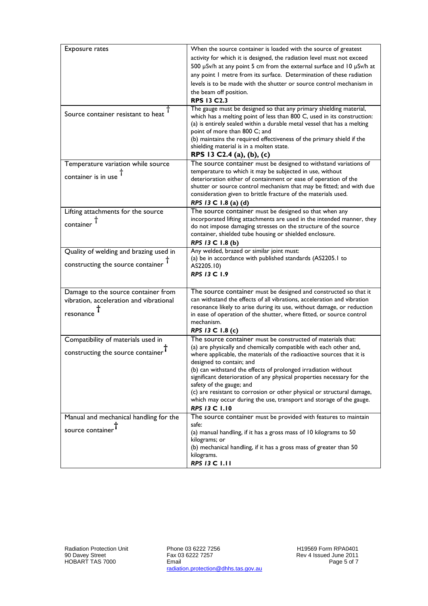| <b>Exposure rates</b>                   | When the source container is loaded with the source of greatest                                                                                                                                                                                                                                                                                                                                             |
|-----------------------------------------|-------------------------------------------------------------------------------------------------------------------------------------------------------------------------------------------------------------------------------------------------------------------------------------------------------------------------------------------------------------------------------------------------------------|
|                                         | activity for which it is designed, the radiation level must not exceed                                                                                                                                                                                                                                                                                                                                      |
|                                         | 500 µSv/h at any point 5 cm from the external surface and 10 µSv/h at                                                                                                                                                                                                                                                                                                                                       |
|                                         | any point I metre from its surface. Determination of these radiation                                                                                                                                                                                                                                                                                                                                        |
|                                         | levels is to be made with the shutter or source control mechanism in                                                                                                                                                                                                                                                                                                                                        |
|                                         |                                                                                                                                                                                                                                                                                                                                                                                                             |
|                                         | the beam off position.                                                                                                                                                                                                                                                                                                                                                                                      |
|                                         | <b>RPS 13 C2.3</b>                                                                                                                                                                                                                                                                                                                                                                                          |
| Source container resistant to heat      | The gauge must be designed so that any primary shielding material,<br>which has a melting point of less than 800 C, used in its construction:<br>(a) is entirely sealed within a durable metal vessel that has a melting<br>point of more than 800 C; and<br>(b) maintains the required effectiveness of the primary shield if the<br>shielding material is in a molten state.<br>RPS 13 C2.4 (a), (b), (c) |
| Temperature variation while source      | The source container must be designed to withstand variations of                                                                                                                                                                                                                                                                                                                                            |
|                                         | temperature to which it may be subjected in use, without                                                                                                                                                                                                                                                                                                                                                    |
| container is in use                     | deterioration either of containment or ease of operation of the                                                                                                                                                                                                                                                                                                                                             |
|                                         | shutter or source control mechanism that may be fitted; and with due                                                                                                                                                                                                                                                                                                                                        |
|                                         | consideration given to brittle fracture of the materials used.                                                                                                                                                                                                                                                                                                                                              |
|                                         | RPS 13 C 1.8 (a) (d)                                                                                                                                                                                                                                                                                                                                                                                        |
| Lifting attachments for the source      | The source container must be designed so that when any                                                                                                                                                                                                                                                                                                                                                      |
|                                         | incorporated lifting attachments are used in the intended manner, they                                                                                                                                                                                                                                                                                                                                      |
| container                               | do not impose damaging stresses on the structure of the source                                                                                                                                                                                                                                                                                                                                              |
|                                         | container, shielded tube housing or shielded enclosure.                                                                                                                                                                                                                                                                                                                                                     |
|                                         | RPS 13 C 1.8 (b)                                                                                                                                                                                                                                                                                                                                                                                            |
| Quality of welding and brazing used in  | Any welded, brazed or similar joint must:                                                                                                                                                                                                                                                                                                                                                                   |
| constructing the source container       | (a) be in accordance with published standards (AS2205.1 to                                                                                                                                                                                                                                                                                                                                                  |
|                                         | AS2205.10)                                                                                                                                                                                                                                                                                                                                                                                                  |
|                                         | <b>RPS 13 C 1.9</b>                                                                                                                                                                                                                                                                                                                                                                                         |
|                                         |                                                                                                                                                                                                                                                                                                                                                                                                             |
| Damage to the source container from     | The source container must be designed and constructed so that it                                                                                                                                                                                                                                                                                                                                            |
| vibration, acceleration and vibrational | can withstand the effects of all vibrations, acceleration and vibration                                                                                                                                                                                                                                                                                                                                     |
| resonance                               | resonance likely to arise during its use, without damage, or reduction                                                                                                                                                                                                                                                                                                                                      |
|                                         | in ease of operation of the shutter, where fitted, or source control<br>mechanism.                                                                                                                                                                                                                                                                                                                          |
|                                         | RPS 13 C 1.8 (c)                                                                                                                                                                                                                                                                                                                                                                                            |
|                                         | The source container must be constructed of materials that:                                                                                                                                                                                                                                                                                                                                                 |
| Compatibility of materials used in      |                                                                                                                                                                                                                                                                                                                                                                                                             |
| constructing the source container       | (a) are physically and chemically compatible with each other and,<br>where applicable, the materials of the radioactive sources that it is                                                                                                                                                                                                                                                                  |
|                                         | designed to contain; and                                                                                                                                                                                                                                                                                                                                                                                    |
|                                         | (b) can withstand the effects of prolonged irradiation without                                                                                                                                                                                                                                                                                                                                              |
|                                         | significant deterioration of any physical properties necessary for the                                                                                                                                                                                                                                                                                                                                      |
|                                         | safety of the gauge; and                                                                                                                                                                                                                                                                                                                                                                                    |
|                                         | (c) are resistant to corrosion or other physical or structural damage,                                                                                                                                                                                                                                                                                                                                      |
|                                         | which may occur during the use, transport and storage of the gauge.                                                                                                                                                                                                                                                                                                                                         |
|                                         | <b>RPS 13 C 1.10</b>                                                                                                                                                                                                                                                                                                                                                                                        |
| Manual and mechanical handling for the  | The source container must be provided with features to maintain                                                                                                                                                                                                                                                                                                                                             |
|                                         | safe:                                                                                                                                                                                                                                                                                                                                                                                                       |
| source containe                         | (a) manual handling, if it has a gross mass of 10 kilograms to 50                                                                                                                                                                                                                                                                                                                                           |
|                                         | kilograms; or                                                                                                                                                                                                                                                                                                                                                                                               |
|                                         | (b) mechanical handling, if it has a gross mass of greater than 50                                                                                                                                                                                                                                                                                                                                          |
|                                         | kilograms.                                                                                                                                                                                                                                                                                                                                                                                                  |
|                                         | <b>RPS 13 C 1.11</b>                                                                                                                                                                                                                                                                                                                                                                                        |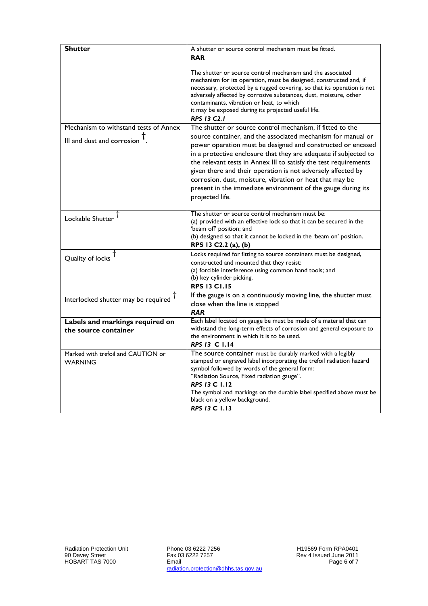| <b>Shutter</b>                                                         | A shutter or source control mechanism must be fitted.<br><b>RAR</b>                                                                                                                                                                                                                                                                                                                                                                                                                                                                             |
|------------------------------------------------------------------------|-------------------------------------------------------------------------------------------------------------------------------------------------------------------------------------------------------------------------------------------------------------------------------------------------------------------------------------------------------------------------------------------------------------------------------------------------------------------------------------------------------------------------------------------------|
|                                                                        | The shutter or source control mechanism and the associated<br>mechanism for its operation, must be designed, constructed and, if<br>necessary, protected by a rugged covering, so that its operation is not<br>adversely affected by corrosive substances, dust, moisture, other<br>contaminants, vibration or heat, to which<br>it may be exposed during its projected useful life.<br><b>RPS 13 C2.1</b>                                                                                                                                      |
| Mechanism to withstand tests of Annex<br>III and dust and corrosion T. | The shutter or source control mechanism, if fitted to the<br>source container, and the associated mechanism for manual or<br>power operation must be designed and constructed or encased<br>in a protective enclosure that they are adequate if subjected to<br>the relevant tests in Annex III to satisfy the test requirements<br>given there and their operation is not adversely affected by<br>corrosion, dust, moisture, vibration or heat that may be<br>present in the immediate environment of the gauge during its<br>projected life. |
| Lockable Shutter T                                                     | The shutter or source control mechanism must be:<br>(a) provided with an effective lock so that it can be secured in the<br>'beam off' position; and<br>(b) designed so that it cannot be locked in the 'beam on' position.<br>RPS 13 C2.2 (a), (b)                                                                                                                                                                                                                                                                                             |
| Quality of locks <sup>1</sup>                                          | Locks required for fitting to source containers must be designed,<br>constructed and mounted that they resist:<br>(a) forcible interference using common hand tools; and<br>(b) key cylinder picking.<br><b>RPS 13 C1.15</b>                                                                                                                                                                                                                                                                                                                    |
| Interlocked shutter may be required T                                  | If the gauge is on a continuously moving line, the shutter must<br>close when the line is stopped<br><b>RAR</b>                                                                                                                                                                                                                                                                                                                                                                                                                                 |
| Labels and markings required on<br>the source container                | Each label located on gauge be must be made of a material that can<br>withstand the long-term effects of corrosion and general exposure to<br>the environment in which it is to be used.<br>RPS 13 C 1.14                                                                                                                                                                                                                                                                                                                                       |
| Marked with trefoil and CAUTION or<br><b>WARNING</b>                   | The source container must be durably marked with a legibly<br>stamped or engraved label incorporating the trefoil radiation hazard<br>symbol followed by words of the general form:<br>"Radiation Source, Fixed radiation gauge".<br><b>RPS 13 C 1.12</b><br>The symbol and markings on the durable label specified above must be<br>black on a yellow background.<br><b>RPS 13 C 1.13</b>                                                                                                                                                      |